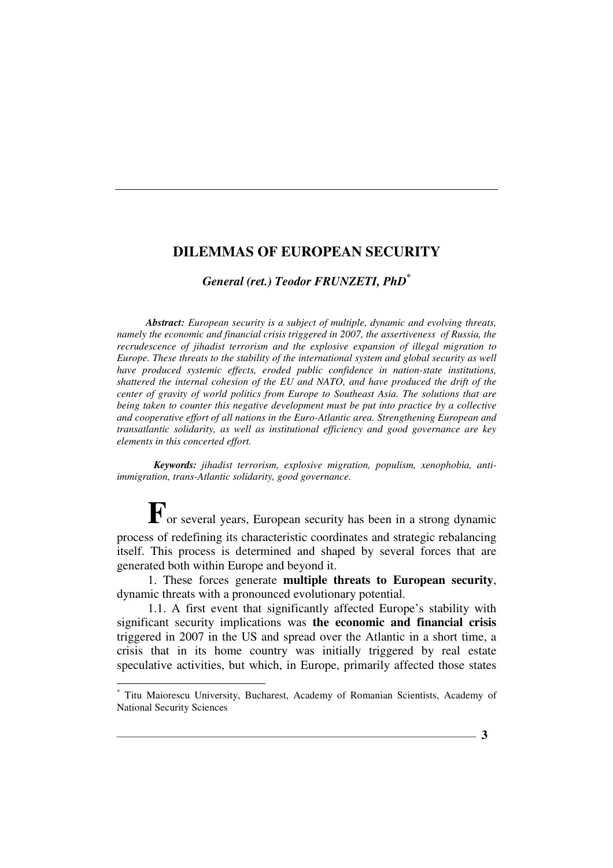*General (ret.) Teodor FRUNZETI, PhD\**

*Abstract: European security is a subject of multiple, dynamic and evolving threats, namely the economic and financial crisis triggered in 2007, the assertiveness of Russia, the recrudescence of jihadist terrorism and the explosive expansion of illegal migration to Europe. These threats to the stability of the international system and global security as well have produced systemic effects, eroded public confidence in nation-state institutions, shattered the internal cohesion of the EU and NATO, and have produced the drift of the center of gravity of world politics from Europe to Southeast Asia. The solutions that are being taken to counter this negative development must be put into practice by a collective and cooperative effort of all nations in the Euro-Atlantic area. Strengthening European and transatlantic solidarity, as well as institutional efficiency and good governance are key elements in this concerted effort.*

*Keywords: jihadist terrorism, explosive migration, populism, xenophobia, antiimmigration, trans-Atlantic solidarity, good governance.*

**F**<sub>or</sub> several years, European security has been in a strong dynamic process of redefining its characteristic coordinates and strategic rebalancing itself. This process is determined and shaped by several forces that are generated both within Europe and beyond it.

1. These forces generate **multiple threats to European security**, dynamic threats with a pronounced evolutionary potential.

1.1. A first event that significantly affected Europe's stability with significant security implications was **the economic and financial crisis** triggered in 2007 in the US and spread over the Atlantic in a short time, a crisis that in its home country was initially triggered by real estate speculative activities, but which, in Europe, primarily affected those states

<sup>\*</sup> Titu Maiorescu University, Bucharest, Academy of Romanian Scientists, Academy of National Security Sciences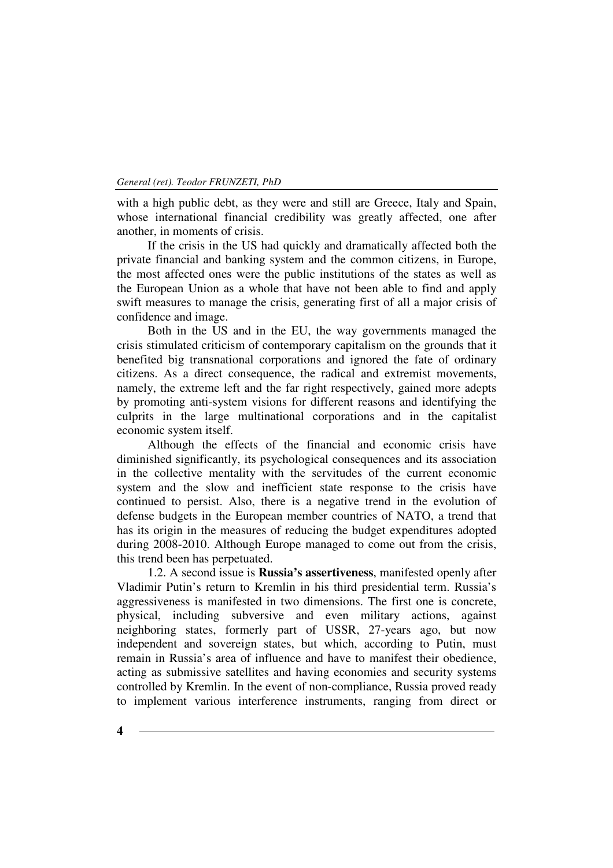with a high public debt, as they were and still are Greece, Italy and Spain, whose international financial credibility was greatly affected, one after another, in moments of crisis.

If the crisis in the US had quickly and dramatically affected both the private financial and banking system and the common citizens, in Europe, the most affected ones were the public institutions of the states as well as the European Union as a whole that have not been able to find and apply swift measures to manage the crisis, generating first of all a major crisis of confidence and image.

Both in the US and in the EU, the way governments managed the crisis stimulated criticism of contemporary capitalism on the grounds that it benefited big transnational corporations and ignored the fate of ordinary citizens. As a direct consequence, the radical and extremist movements, namely, the extreme left and the far right respectively, gained more adepts by promoting anti-system visions for different reasons and identifying the culprits in the large multinational corporations and in the capitalist economic system itself.

Although the effects of the financial and economic crisis have diminished significantly, its psychological consequences and its association in the collective mentality with the servitudes of the current economic system and the slow and inefficient state response to the crisis have continued to persist. Also, there is a negative trend in the evolution of defense budgets in the European member countries of NATO, a trend that has its origin in the measures of reducing the budget expenditures adopted during 2008-2010. Although Europe managed to come out from the crisis, this trend been has perpetuated.

1.2. A second issue is **Russia's assertiveness**, manifested openly after Vladimir Putin's return to Kremlin in his third presidential term. Russia's aggressiveness is manifested in two dimensions. The first one is concrete, physical, including subversive and even military actions, against neighboring states, formerly part of USSR, 27-years ago, but now independent and sovereign states, but which, according to Putin, must remain in Russia's area of influence and have to manifest their obedience, acting as submissive satellites and having economies and security systems controlled by Kremlin. In the event of non-compliance, Russia proved ready to implement various interference instruments, ranging from direct or

**4**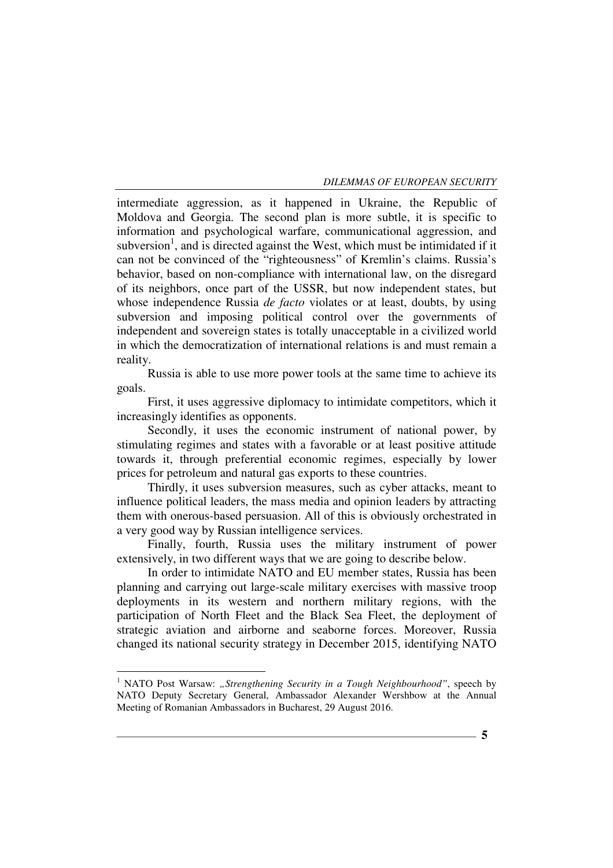intermediate aggression, as it happened in Ukraine, the Republic of Moldova and Georgia. The second plan is more subtle, it is specific to information and psychological warfare, communicational aggression, and subversion<sup>1</sup>, and is directed against the West, which must be intimidated if it can not be convinced of the "righteousness" of Kremlin's claims. Russia's behavior, based on non-compliance with international law, on the disregard of its neighbors, once part of the USSR, but now independent states, but whose independence Russia *de facto* violates or at least, doubts, by using subversion and imposing political control over the governments of independent and sovereign states is totally unacceptable in a civilized world in which the democratization of international relations is and must remain a reality.

Russia is able to use more power tools at the same time to achieve its goals.

First, it uses aggressive diplomacy to intimidate competitors, which it increasingly identifies as opponents.

Secondly, it uses the economic instrument of national power, by stimulating regimes and states with a favorable or at least positive attitude towards it, through preferential economic regimes, especially by lower prices for petroleum and natural gas exports to these countries.

Thirdly, it uses subversion measures, such as cyber attacks, meant to influence political leaders, the mass media and opinion leaders by attracting them with onerous-based persuasion. All of this is obviously orchestrated in a very good way by Russian intelligence services.

Finally, fourth, Russia uses the military instrument of power extensively, in two different ways that we are going to describe below.

In order to intimidate NATO and EU member states, Russia has been planning and carrying out large-scale military exercises with massive troop deployments in its western and northern military regions, with the participation of North Fleet and the Black Sea Fleet, the deployment of strategic aviation and airborne and seaborne forces. Moreover, Russia changed its national security strategy in December 2015, identifying NATO

<sup>&</sup>lt;sup>1</sup> NATO Post Warsaw: "Strengthening Security in a Tough Neighbourhood", speech by NATO Deputy Secretary General, Ambassador Alexander Wershbow at the Annual Meeting of Romanian Ambassadors in Bucharest, 29 August 2016.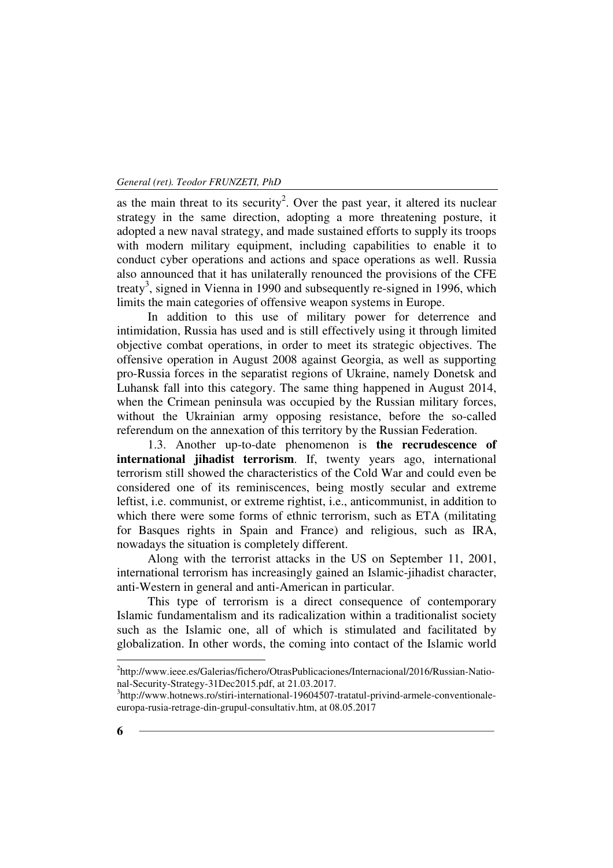as the main threat to its security<sup>2</sup>. Over the past year, it altered its nuclear strategy in the same direction, adopting a more threatening posture, it adopted a new naval strategy, and made sustained efforts to supply its troops with modern military equipment, including capabilities to enable it to conduct cyber operations and actions and space operations as well. Russia also announced that it has unilaterally renounced the provisions of the CFE treaty<sup>3</sup>, signed in Vienna in 1990 and subsequently re-signed in 1996, which limits the main categories of offensive weapon systems in Europe.

In addition to this use of military power for deterrence and intimidation, Russia has used and is still effectively using it through limited objective combat operations, in order to meet its strategic objectives. The offensive operation in August 2008 against Georgia, as well as supporting pro-Russia forces in the separatist regions of Ukraine, namely Donetsk and Luhansk fall into this category. The same thing happened in August 2014, when the Crimean peninsula was occupied by the Russian military forces, without the Ukrainian army opposing resistance, before the so-called referendum on the annexation of this territory by the Russian Federation.

1.3. Another up-to-date phenomenon is **the recrudescence of international jihadist terrorism**. If, twenty years ago, international terrorism still showed the characteristics of the Cold War and could even be considered one of its reminiscences, being mostly secular and extreme leftist, i.e. communist, or extreme rightist, i.e., anticommunist, in addition to which there were some forms of ethnic terrorism, such as ETA (militating for Basques rights in Spain and France) and religious, such as IRA, nowadays the situation is completely different.

Along with the terrorist attacks in the US on September 11, 2001, international terrorism has increasingly gained an Islamic-jihadist character, anti-Western in general and anti-American in particular.

This type of terrorism is a direct consequence of contemporary Islamic fundamentalism and its radicalization within a traditionalist society such as the Islamic one, all of which is stimulated and facilitated by globalization. In other words, the coming into contact of the Islamic world

<sup>&</sup>lt;sup>2</sup>http://www.ieee.es/Galerias/fichero/OtrasPublicaciones/Internacional/2016/Russian-National-Security-Strategy-31Dec2015.pdf, at 21.03.2017.

<sup>&</sup>lt;sup>3</sup>http://www.hotnews.ro/stiri-international-19604507-tratatul-privind-armele-conventionaleeuropa-rusia-retrage-din-grupul-consultativ.htm, at 08.05.2017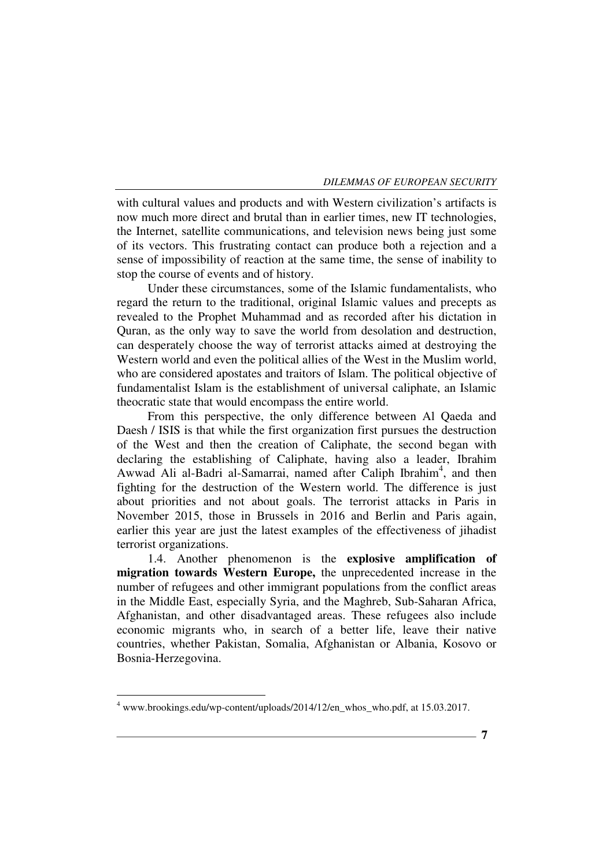with cultural values and products and with Western civilization's artifacts is now much more direct and brutal than in earlier times, new IT technologies, the Internet, satellite communications, and television news being just some of its vectors. This frustrating contact can produce both a rejection and a sense of impossibility of reaction at the same time, the sense of inability to stop the course of events and of history.

Under these circumstances, some of the Islamic fundamentalists, who regard the return to the traditional, original Islamic values and precepts as revealed to the Prophet Muhammad and as recorded after his dictation in Quran, as the only way to save the world from desolation and destruction, can desperately choose the way of terrorist attacks aimed at destroying the Western world and even the political allies of the West in the Muslim world, who are considered apostates and traitors of Islam. The political objective of fundamentalist Islam is the establishment of universal caliphate, an Islamic theocratic state that would encompass the entire world.

From this perspective, the only difference between Al Qaeda and Daesh / ISIS is that while the first organization first pursues the destruction of the West and then the creation of Caliphate, the second began with declaring the establishing of Caliphate, having also a leader, Ibrahim Awwad Ali al-Badri al-Samarrai, named after Caliph Ibrahim<sup>4</sup>, and then fighting for the destruction of the Western world. The difference is just about priorities and not about goals. The terrorist attacks in Paris in November 2015, those in Brussels in 2016 and Berlin and Paris again, earlier this year are just the latest examples of the effectiveness of jihadist terrorist organizations.

1.4. Another phenomenon is the **explosive amplification of migration towards Western Europe,** the unprecedented increase in the number of refugees and other immigrant populations from the conflict areas in the Middle East, especially Syria, and the Maghreb, Sub-Saharan Africa, Afghanistan, and other disadvantaged areas. These refugees also include economic migrants who, in search of a better life, leave their native countries, whether Pakistan, Somalia, Afghanistan or Albania, Kosovo or Bosnia-Herzegovina.

<sup>4</sup> www.brookings.edu/wp-content/uploads/2014/12/en\_whos\_who.pdf, at 15.03.2017.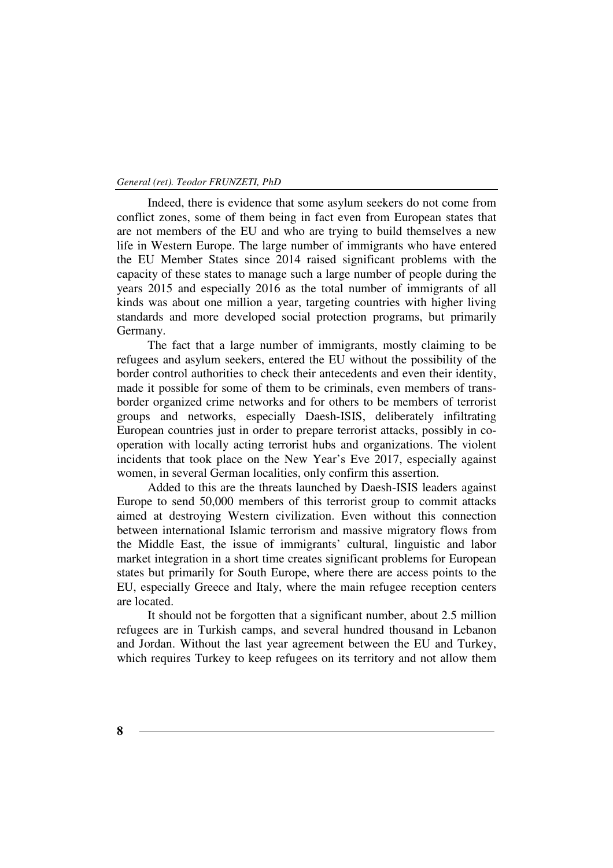Indeed, there is evidence that some asylum seekers do not come from conflict zones, some of them being in fact even from European states that are not members of the EU and who are trying to build themselves a new life in Western Europe. The large number of immigrants who have entered the EU Member States since 2014 raised significant problems with the capacity of these states to manage such a large number of people during the years 2015 and especially 2016 as the total number of immigrants of all kinds was about one million a year, targeting countries with higher living standards and more developed social protection programs, but primarily Germany.

The fact that a large number of immigrants, mostly claiming to be refugees and asylum seekers, entered the EU without the possibility of the border control authorities to check their antecedents and even their identity, made it possible for some of them to be criminals, even members of transborder organized crime networks and for others to be members of terrorist groups and networks, especially Daesh-ISIS, deliberately infiltrating European countries just in order to prepare terrorist attacks, possibly in cooperation with locally acting terrorist hubs and organizations. The violent incidents that took place on the New Year's Eve 2017, especially against women, in several German localities, only confirm this assertion.

Added to this are the threats launched by Daesh-ISIS leaders against Europe to send 50,000 members of this terrorist group to commit attacks aimed at destroying Western civilization. Even without this connection between international Islamic terrorism and massive migratory flows from the Middle East, the issue of immigrants' cultural, linguistic and labor market integration in a short time creates significant problems for European states but primarily for South Europe, where there are access points to the EU, especially Greece and Italy, where the main refugee reception centers are located.

It should not be forgotten that a significant number, about 2.5 million refugees are in Turkish camps, and several hundred thousand in Lebanon and Jordan. Without the last year agreement between the EU and Turkey, which requires Turkey to keep refugees on its territory and not allow them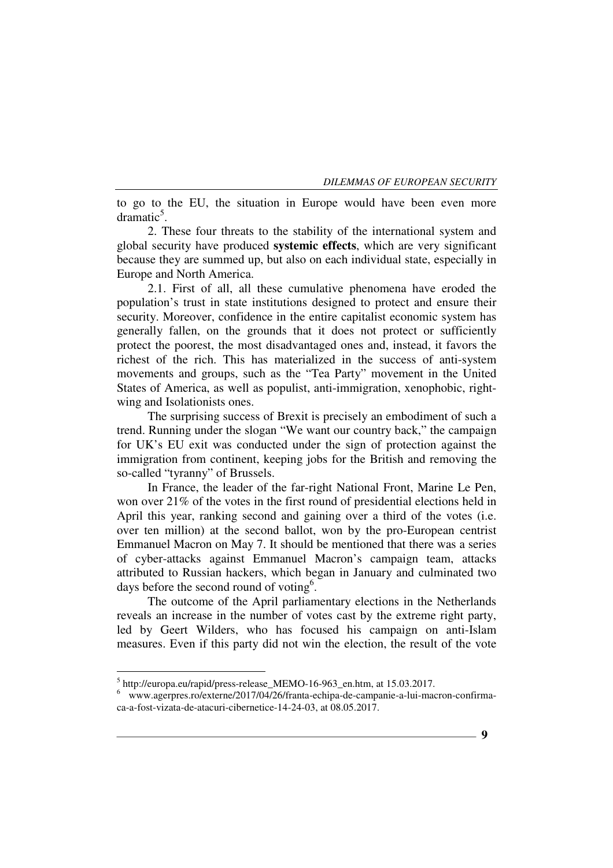to go to the EU, the situation in Europe would have been even more  $d$ ramatic<sup>5</sup>.

2. These four threats to the stability of the international system and global security have produced **systemic effects**, which are very significant because they are summed up, but also on each individual state, especially in Europe and North America.

2.1. First of all, all these cumulative phenomena have eroded the population's trust in state institutions designed to protect and ensure their security. Moreover, confidence in the entire capitalist economic system has generally fallen, on the grounds that it does not protect or sufficiently protect the poorest, the most disadvantaged ones and, instead, it favors the richest of the rich. This has materialized in the success of anti-system movements and groups, such as the "Tea Party" movement in the United States of America, as well as populist, anti-immigration, xenophobic, rightwing and Isolationists ones.

The surprising success of Brexit is precisely an embodiment of such a trend. Running under the slogan "We want our country back," the campaign for UK's EU exit was conducted under the sign of protection against the immigration from continent, keeping jobs for the British and removing the so-called "tyranny" of Brussels.

In France, the leader of the far-right National Front, Marine Le Pen, won over 21% of the votes in the first round of presidential elections held in April this year, ranking second and gaining over a third of the votes (i.e. over ten million) at the second ballot, won by the pro-European centrist Emmanuel Macron on May 7. It should be mentioned that there was a series of cyber-attacks against Emmanuel Macron's campaign team, attacks attributed to Russian hackers, which began in January and culminated two days before the second round of voting<sup>6</sup>.

The outcome of the April parliamentary elections in the Netherlands reveals an increase in the number of votes cast by the extreme right party, led by Geert Wilders, who has focused his campaign on anti-Islam measures. Even if this party did not win the election, the result of the vote

<sup>&</sup>lt;sup>5</sup> http://europa.eu/rapid/press-release\_MEMO-16-963\_en.htm, at 15.03.2017.

<sup>6</sup> www.agerpres.ro/externe/2017/04/26/franta-echipa-de-campanie-a-lui-macron-confirmaca-a-fost-vizata-de-atacuri-cibernetice-14-24-03, at 08.05.2017.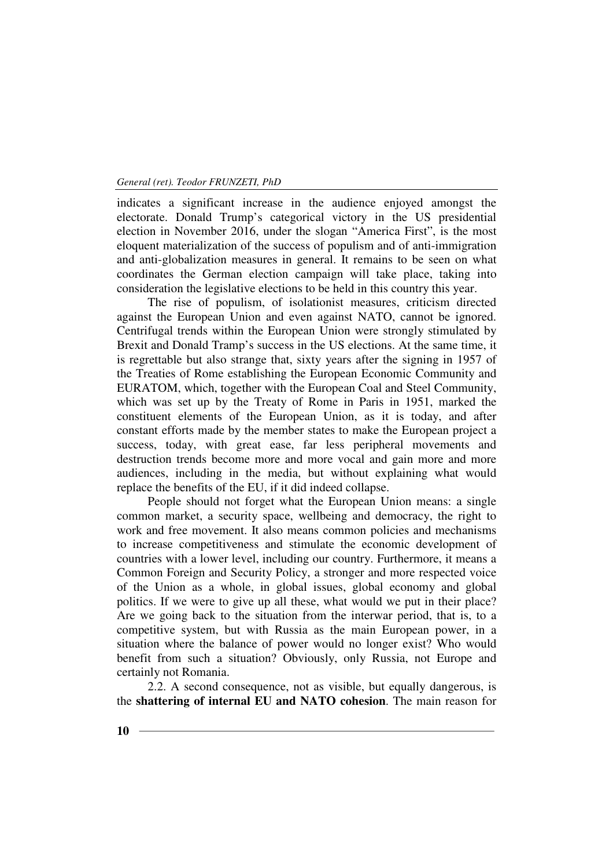indicates a significant increase in the audience enjoyed amongst the electorate. Donald Trump's categorical victory in the US presidential election in November 2016, under the slogan "America First", is the most eloquent materialization of the success of populism and of anti-immigration and anti-globalization measures in general. It remains to be seen on what coordinates the German election campaign will take place, taking into consideration the legislative elections to be held in this country this year.

The rise of populism, of isolationist measures, criticism directed against the European Union and even against NATO, cannot be ignored. Centrifugal trends within the European Union were strongly stimulated by Brexit and Donald Tramp's success in the US elections. At the same time, it is regrettable but also strange that, sixty years after the signing in 1957 of the Treaties of Rome establishing the European Economic Community and EURATOM, which, together with the European Coal and Steel Community, which was set up by the Treaty of Rome in Paris in 1951, marked the constituent elements of the European Union, as it is today, and after constant efforts made by the member states to make the European project a success, today, with great ease, far less peripheral movements and destruction trends become more and more vocal and gain more and more audiences, including in the media, but without explaining what would replace the benefits of the EU, if it did indeed collapse.

People should not forget what the European Union means: a single common market, a security space, wellbeing and democracy, the right to work and free movement. It also means common policies and mechanisms to increase competitiveness and stimulate the economic development of countries with a lower level, including our country. Furthermore, it means a Common Foreign and Security Policy, a stronger and more respected voice of the Union as a whole, in global issues, global economy and global politics. If we were to give up all these, what would we put in their place? Are we going back to the situation from the interwar period, that is, to a competitive system, but with Russia as the main European power, in a situation where the balance of power would no longer exist? Who would benefit from such a situation? Obviously, only Russia, not Europe and certainly not Romania.

2.2. A second consequence, not as visible, but equally dangerous, is the **shattering of internal EU and NATO cohesion**. The main reason for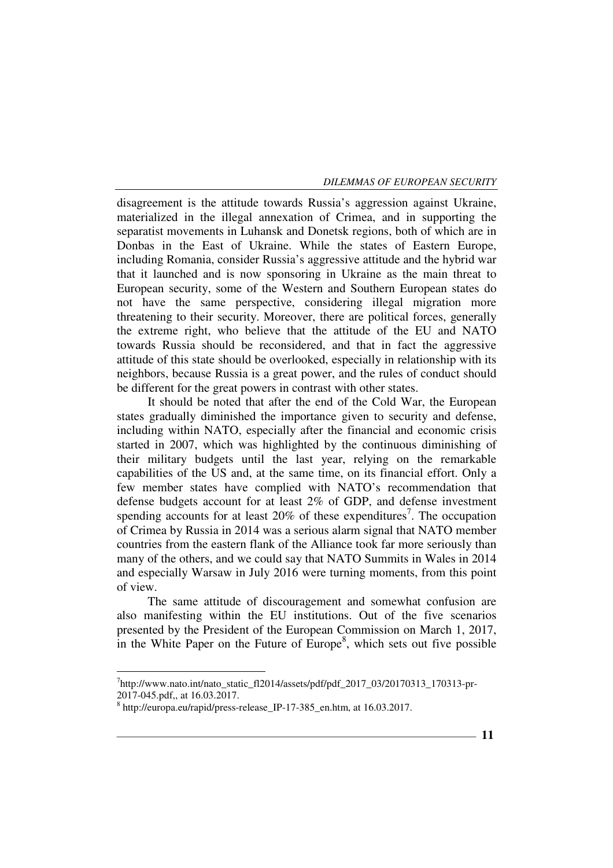disagreement is the attitude towards Russia's aggression against Ukraine, materialized in the illegal annexation of Crimea, and in supporting the separatist movements in Luhansk and Donetsk regions, both of which are in Donbas in the East of Ukraine. While the states of Eastern Europe, including Romania, consider Russia's aggressive attitude and the hybrid war that it launched and is now sponsoring in Ukraine as the main threat to European security, some of the Western and Southern European states do not have the same perspective, considering illegal migration more threatening to their security. Moreover, there are political forces, generally the extreme right, who believe that the attitude of the EU and NATO towards Russia should be reconsidered, and that in fact the aggressive attitude of this state should be overlooked, especially in relationship with its neighbors, because Russia is a great power, and the rules of conduct should be different for the great powers in contrast with other states.

It should be noted that after the end of the Cold War, the European states gradually diminished the importance given to security and defense, including within NATO, especially after the financial and economic crisis started in 2007, which was highlighted by the continuous diminishing of their military budgets until the last year, relying on the remarkable capabilities of the US and, at the same time, on its financial effort. Only a few member states have complied with NATO's recommendation that defense budgets account for at least 2% of GDP, and defense investment spending accounts for at least  $20\%$  of these expenditures<sup>7</sup>. The occupation of Crimea by Russia in 2014 was a serious alarm signal that NATO member countries from the eastern flank of the Alliance took far more seriously than many of the others, and we could say that NATO Summits in Wales in 2014 and especially Warsaw in July 2016 were turning moments, from this point of view.

The same attitude of discouragement and somewhat confusion are also manifesting within the EU institutions. Out of the five scenarios presented by the President of the European Commission on March 1, 2017, in the White Paper on the Future of Europe $\delta$ , which sets out five possible

<sup>&</sup>lt;sup>7</sup>http://www.nato.int/nato\_static\_fl2014/assets/pdf/pdf\_2017\_03/20170313\_170313-pr-2017-045.pdf,, at 16.03.2017.

<sup>8</sup> http://europa.eu/rapid/press-release\_IP-17-385\_en.htm, at 16.03.2017.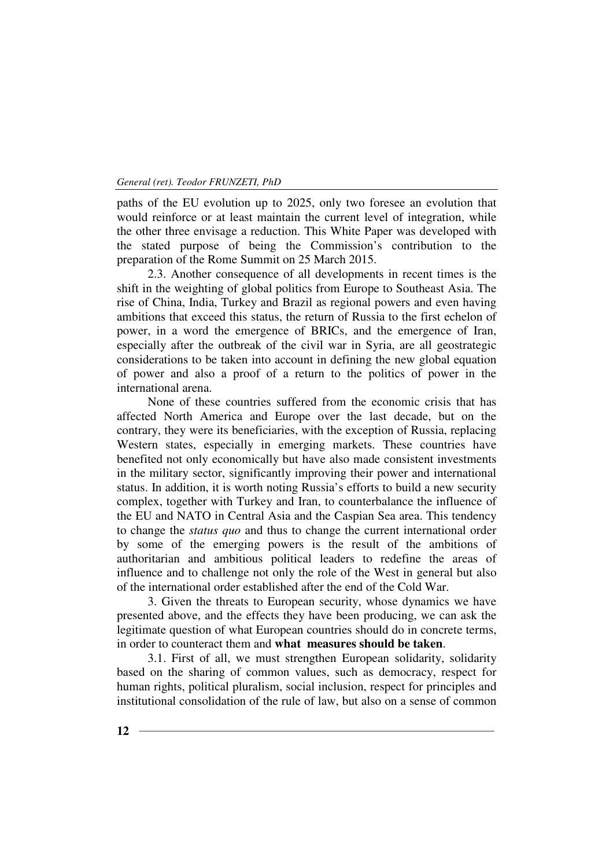paths of the EU evolution up to 2025, only two foresee an evolution that would reinforce or at least maintain the current level of integration, while the other three envisage a reduction. This White Paper was developed with the stated purpose of being the Commission's contribution to the preparation of the Rome Summit on 25 March 2015.

2.3. Another consequence of all developments in recent times is the shift in the weighting of global politics from Europe to Southeast Asia. The rise of China, India, Turkey and Brazil as regional powers and even having ambitions that exceed this status, the return of Russia to the first echelon of power, in a word the emergence of BRICs, and the emergence of Iran, especially after the outbreak of the civil war in Syria, are all geostrategic considerations to be taken into account in defining the new global equation of power and also a proof of a return to the politics of power in the international arena.

None of these countries suffered from the economic crisis that has affected North America and Europe over the last decade, but on the contrary, they were its beneficiaries, with the exception of Russia, replacing Western states, especially in emerging markets. These countries have benefited not only economically but have also made consistent investments in the military sector, significantly improving their power and international status. In addition, it is worth noting Russia's efforts to build a new security complex, together with Turkey and Iran, to counterbalance the influence of the EU and NATO in Central Asia and the Caspian Sea area. This tendency to change the *status quo* and thus to change the current international order by some of the emerging powers is the result of the ambitions of authoritarian and ambitious political leaders to redefine the areas of influence and to challenge not only the role of the West in general but also of the international order established after the end of the Cold War.

3. Given the threats to European security, whose dynamics we have presented above, and the effects they have been producing, we can ask the legitimate question of what European countries should do in concrete terms, in order to counteract them and **what measures should be taken**.

3.1. First of all, we must strengthen European solidarity, solidarity based on the sharing of common values, such as democracy, respect for human rights, political pluralism, social inclusion, respect for principles and institutional consolidation of the rule of law, but also on a sense of common

**12**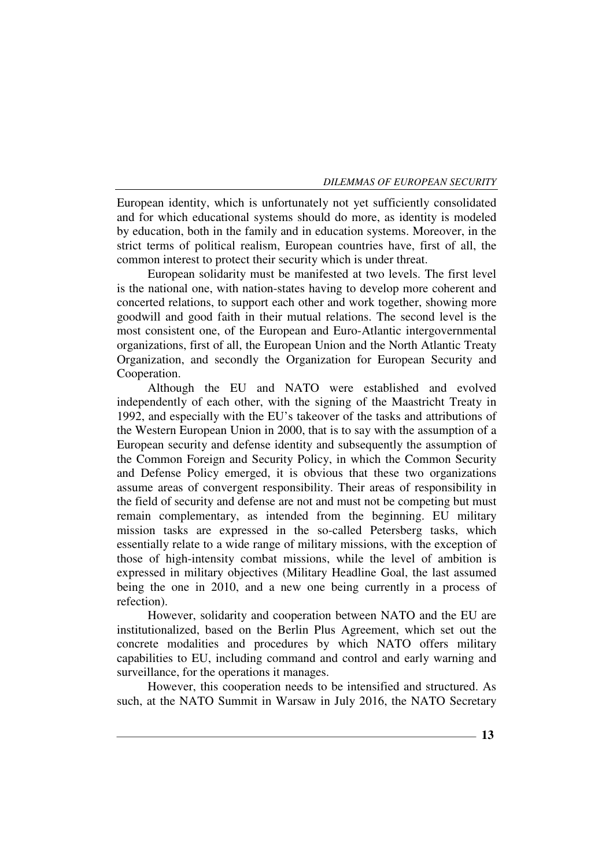European identity, which is unfortunately not yet sufficiently consolidated and for which educational systems should do more, as identity is modeled by education, both in the family and in education systems. Moreover, in the strict terms of political realism, European countries have, first of all, the common interest to protect their security which is under threat.

European solidarity must be manifested at two levels. The first level is the national one, with nation-states having to develop more coherent and concerted relations, to support each other and work together, showing more goodwill and good faith in their mutual relations. The second level is the most consistent one, of the European and Euro-Atlantic intergovernmental organizations, first of all, the European Union and the North Atlantic Treaty Organization, and secondly the Organization for European Security and Cooperation.

Although the EU and NATO were established and evolved independently of each other, with the signing of the Maastricht Treaty in 1992, and especially with the EU's takeover of the tasks and attributions of the Western European Union in 2000, that is to say with the assumption of a European security and defense identity and subsequently the assumption of the Common Foreign and Security Policy, in which the Common Security and Defense Policy emerged, it is obvious that these two organizations assume areas of convergent responsibility. Their areas of responsibility in the field of security and defense are not and must not be competing but must remain complementary, as intended from the beginning. EU military mission tasks are expressed in the so-called Petersberg tasks, which essentially relate to a wide range of military missions, with the exception of those of high-intensity combat missions, while the level of ambition is expressed in military objectives (Military Headline Goal, the last assumed being the one in 2010, and a new one being currently in a process of refection).

However, solidarity and cooperation between NATO and the EU are institutionalized, based on the Berlin Plus Agreement, which set out the concrete modalities and procedures by which NATO offers military capabilities to EU, including command and control and early warning and surveillance, for the operations it manages.

However, this cooperation needs to be intensified and structured. As such, at the NATO Summit in Warsaw in July 2016, the NATO Secretary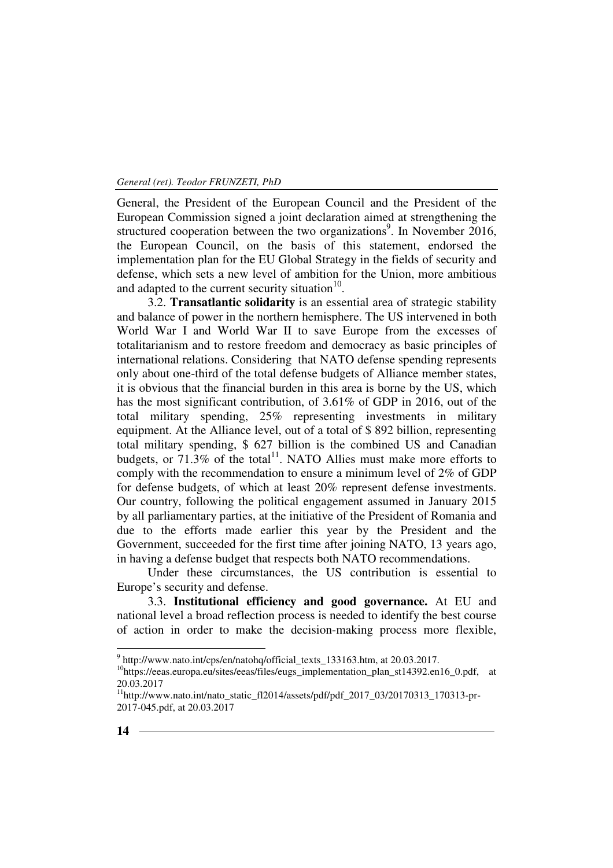General, the President of the European Council and the President of the European Commission signed a joint declaration aimed at strengthening the structured cooperation between the two organizations<sup>9</sup>. In November 2016, the European Council, on the basis of this statement, endorsed the implementation plan for the EU Global Strategy in the fields of security and defense, which sets a new level of ambition for the Union, more ambitious and adapted to the current security situation $10$ .

3.2. **Transatlantic solidarity** is an essential area of strategic stability and balance of power in the northern hemisphere. The US intervened in both World War I and World War II to save Europe from the excesses of totalitarianism and to restore freedom and democracy as basic principles of international relations. Considering that NATO defense spending represents only about one-third of the total defense budgets of Alliance member states, it is obvious that the financial burden in this area is borne by the US, which has the most significant contribution, of 3.61% of GDP in 2016, out of the total military spending, 25% representing investments in military equipment. At the Alliance level, out of a total of \$ 892 billion, representing total military spending, \$ 627 billion is the combined US and Canadian budgets, or  $71.3\%$  of the total<sup>11</sup>. NATO Allies must make more efforts to comply with the recommendation to ensure a minimum level of 2% of GDP for defense budgets, of which at least 20% represent defense investments. Our country, following the political engagement assumed in January 2015 by all parliamentary parties, at the initiative of the President of Romania and due to the efforts made earlier this year by the President and the Government, succeeded for the first time after joining NATO, 13 years ago, in having a defense budget that respects both NATO recommendations.

Under these circumstances, the US contribution is essential to Europe's security and defense.

3.3. **Institutional efficiency and good governance.** At EU and national level a broad reflection process is needed to identify the best course of action in order to make the decision-making process more flexible,

 9 http://www.nato.int/cps/en/natohq/official\_texts\_133163.htm, at 20.03.2017.

<sup>&</sup>lt;sup>10</sup>https://eeas.europa.eu/sites/eeas/files/eugs\_implementation\_plan\_st14392.en16\_0.pdf, at 20.03.2017

 $11$ http://www.nato.int/nato\_static\_fl2014/assets/pdf/pdf\_2017\_03/20170313\_170313-pr-2017-045.pdf, at 20.03.2017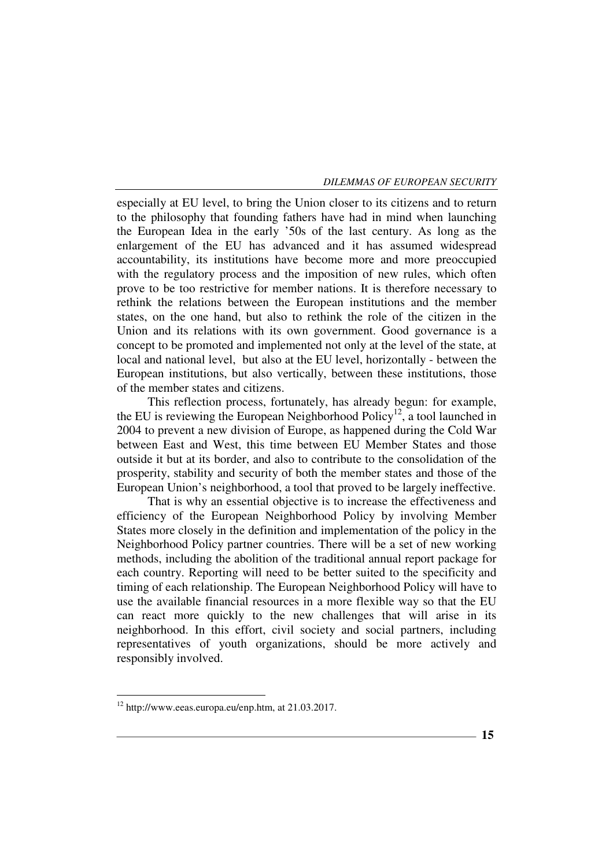especially at EU level, to bring the Union closer to its citizens and to return to the philosophy that founding fathers have had in mind when launching the European Idea in the early '50s of the last century. As long as the enlargement of the EU has advanced and it has assumed widespread accountability, its institutions have become more and more preoccupied with the regulatory process and the imposition of new rules, which often prove to be too restrictive for member nations. It is therefore necessary to rethink the relations between the European institutions and the member states, on the one hand, but also to rethink the role of the citizen in the Union and its relations with its own government. Good governance is a concept to be promoted and implemented not only at the level of the state, at local and national level, but also at the EU level, horizontally - between the European institutions, but also vertically, between these institutions, those of the member states and citizens.

This reflection process, fortunately, has already begun: for example, the EU is reviewing the European Neighborhood Policy<sup>12</sup>, a tool launched in 2004 to prevent a new division of Europe, as happened during the Cold War between East and West, this time between EU Member States and those outside it but at its border, and also to contribute to the consolidation of the prosperity, stability and security of both the member states and those of the European Union's neighborhood, a tool that proved to be largely ineffective.

That is why an essential objective is to increase the effectiveness and efficiency of the European Neighborhood Policy by involving Member States more closely in the definition and implementation of the policy in the Neighborhood Policy partner countries. There will be a set of new working methods, including the abolition of the traditional annual report package for each country. Reporting will need to be better suited to the specificity and timing of each relationship. The European Neighborhood Policy will have to use the available financial resources in a more flexible way so that the EU can react more quickly to the new challenges that will arise in its neighborhood. In this effort, civil society and social partners, including representatives of youth organizations, should be more actively and responsibly involved.

<sup>12</sup> http://www.eeas.europa.eu/enp.htm, at 21.03.2017.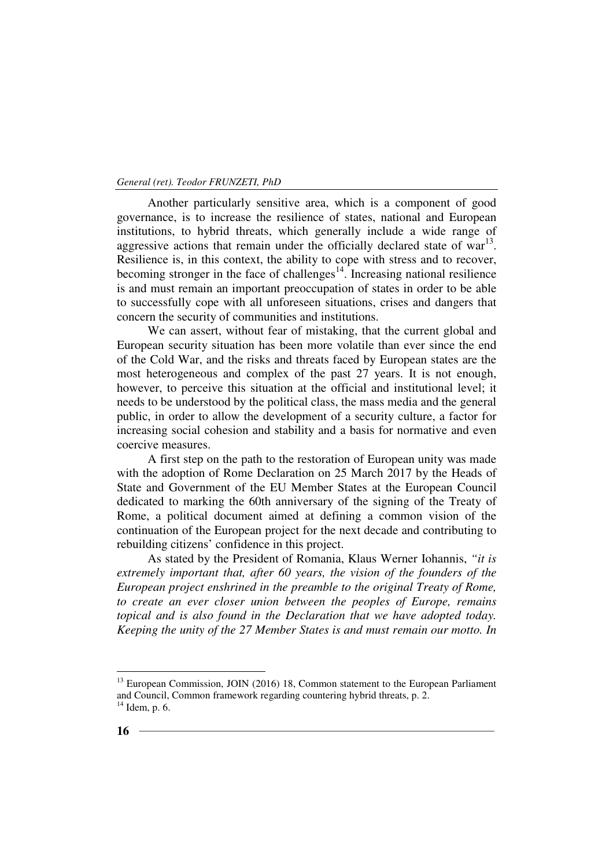Another particularly sensitive area, which is a component of good governance, is to increase the resilience of states, national and European institutions, to hybrid threats, which generally include a wide range of aggressive actions that remain under the officially declared state of  $war^{13}$ . Resilience is, in this context, the ability to cope with stress and to recover, becoming stronger in the face of challenges<sup>14</sup>. Increasing national resilience is and must remain an important preoccupation of states in order to be able to successfully cope with all unforeseen situations, crises and dangers that concern the security of communities and institutions.

We can assert, without fear of mistaking, that the current global and European security situation has been more volatile than ever since the end of the Cold War, and the risks and threats faced by European states are the most heterogeneous and complex of the past 27 years. It is not enough, however, to perceive this situation at the official and institutional level; it needs to be understood by the political class, the mass media and the general public, in order to allow the development of a security culture, a factor for increasing social cohesion and stability and a basis for normative and even coercive measures.

A first step on the path to the restoration of European unity was made with the adoption of Rome Declaration on 25 March 2017 by the Heads of State and Government of the EU Member States at the European Council dedicated to marking the 60th anniversary of the signing of the Treaty of Rome, a political document aimed at defining a common vision of the continuation of the European project for the next decade and contributing to rebuilding citizens' confidence in this project.

As stated by the President of Romania, Klaus Werner Iohannis, *"it is extremely important that, after 60 years, the vision of the founders of the European project enshrined in the preamble to the original Treaty of Rome, to create an ever closer union between the peoples of Europe, remains topical and is also found in the Declaration that we have adopted today. Keeping the unity of the 27 Member States is and must remain our motto. In* 

<sup>&</sup>lt;sup>13</sup> European Commission, JOIN (2016) 18, Common statement to the European Parliament and Council, Common framework regarding countering hybrid threats, p. 2.  $14$  Idem, p. 6.